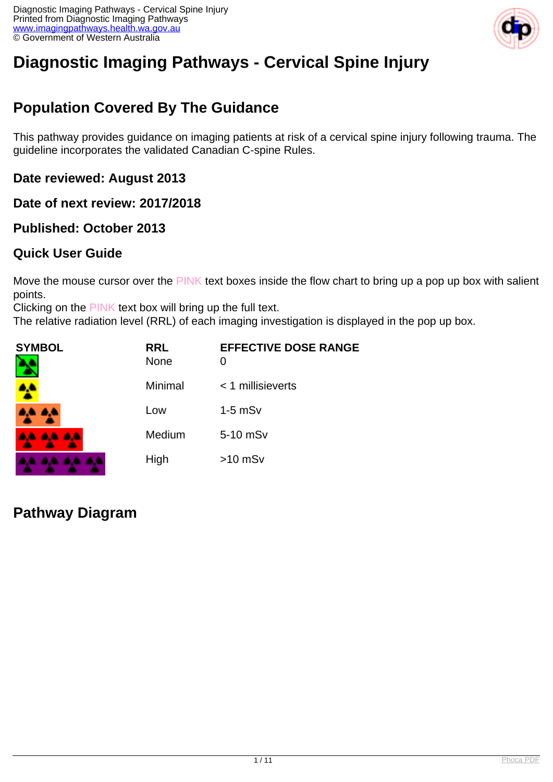

# **Diagnostic Imaging Pathways - Cervical Spine Injury**

## **Population Covered By The Guidance**

This pathway provides guidance on imaging patients at risk of a cervical spine injury following trauma. The guideline incorporates the validated Canadian C-spine Rules.

**Date reviewed: August 2013**

**Date of next review: 2017/2018**

**Published: October 2013**

#### **Quick User Guide**

Move the mouse cursor over the PINK text boxes inside the flow chart to bring up a pop up box with salient points.

Clicking on the PINK text box will bring up the full text.

The relative radiation level (RRL) of each imaging investigation is displayed in the pop up box.

| SYMBOL   | <b>RRL</b><br><b>None</b> | <b>EFFECTIVE DOSE RANGE</b> |
|----------|---------------------------|-----------------------------|
| 4        | Minimal                   | $<$ 1 millisieverts         |
| 4,4 4,4  | Low                       | $1-5$ mSv                   |
| AA AA AA | Medium                    | 5-10 mSv                    |
|          | High                      | $>10$ mSv                   |

**Pathway Diagram**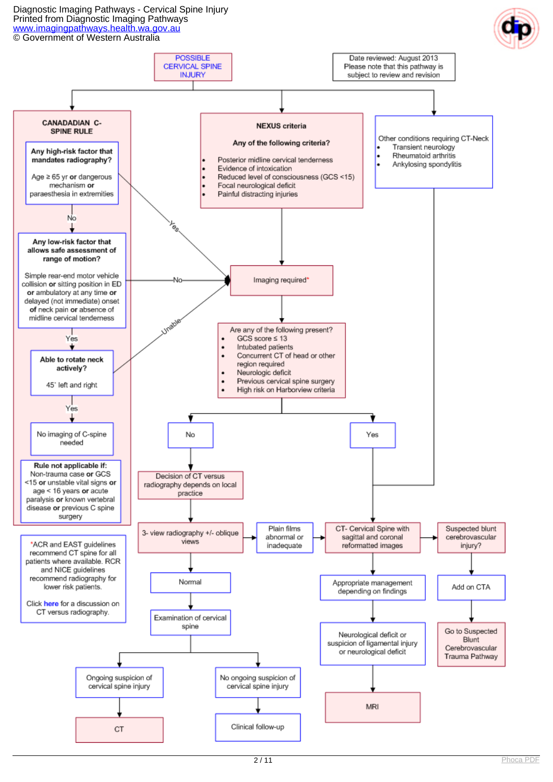#### Diagnostic Imaging Pathways - Cervical Spine Injury Printed from Diagnostic Imaging Pathways [www.imagingpathways.health.wa.gov.au](http://www.imagingpathways.health.wa.gov.au/)

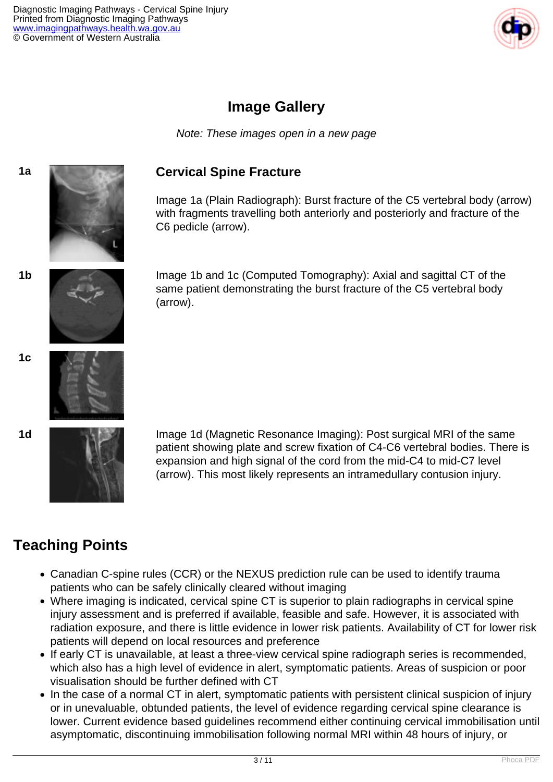

### **Image Gallery**

Note: These images open in a new page

#### **1a Cervical Spine Fracture**

Image 1a (Plain Radiograph): Burst fracture of the C5 vertebral body (arrow) with fragments travelling both anteriorly and posteriorly and fracture of the C6 pedicle (arrow).

**1b** Image 1b and 1c (Computed Tomography): Axial and sagittal CT of the same patient demonstrating the burst fracture of the C5 vertebral body (arrow).



**1c**





**1d Image 1d (Magnetic Resonance Imaging): Post surgical MRI of the same** patient showing plate and screw fixation of C4-C6 vertebral bodies. There is expansion and high signal of the cord from the mid-C4 to mid-C7 level (arrow). This most likely represents an intramedullary contusion injury.

## **Teaching Points**

- Canadian C-spine rules (CCR) or the NEXUS prediction rule can be used to identify trauma patients who can be safely clinically cleared without imaging
- Where imaging is indicated, cervical spine CT is superior to plain radiographs in cervical spine injury assessment and is preferred if available, feasible and safe. However, it is associated with radiation exposure, and there is little evidence in lower risk patients. Availability of CT for lower risk patients will depend on local resources and preference
- If early CT is unavailable, at least a three-view cervical spine radiograph series is recommended, which also has a high level of evidence in alert, symptomatic patients. Areas of suspicion or poor visualisation should be further defined with CT
- In the case of a normal CT in alert, symptomatic patients with persistent clinical suspicion of injury or in unevaluable, obtunded patients, the level of evidence regarding cervical spine clearance is lower. Current evidence based guidelines recommend either continuing cervical immobilisation until asymptomatic, discontinuing immobilisation following normal MRI within 48 hours of injury, or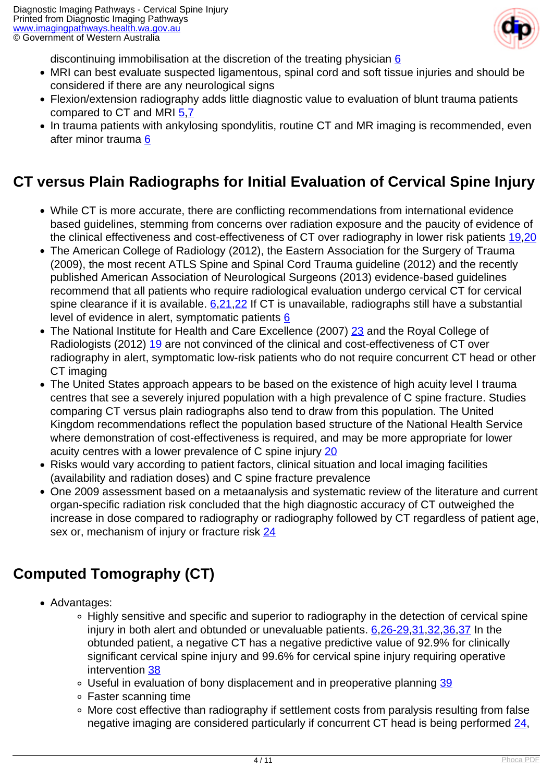

discontinuing immobilisation at the discretion of the treating physician [6](index.php/imaging-pathways/musculoskeletal-trauma/bone-and-joint-trauma/cervical-spine-injury?tab=references#6)

- MRI can best evaluate suspected ligamentous, spinal cord and soft tissue injuries and should be considered if there are any neurological signs
- Flexion/extension radiography adds little diagnostic value to evaluation of blunt trauma patients compared to CT and MRI [5](index.php/imaging-pathways/musculoskeletal-trauma/bone-and-joint-trauma/cervical-spine-injury?tab=references#5)[,7](index.php/imaging-pathways/musculoskeletal-trauma/bone-and-joint-trauma/cervical-spine-injury?tab=references#7)
- In trauma patients with ankylosing spondylitis, routine CT and MR imaging is recommended, even after minor trauma [6](index.php/imaging-pathways/musculoskeletal-trauma/bone-and-joint-trauma/cervical-spine-injury?tab=references#6)

### **CT versus Plain Radiographs for Initial Evaluation of Cervical Spine Injury**

- While CT is more accurate, there are conflicting recommendations from international evidence based guidelines, stemming from concerns over radiation exposure and the paucity of evidence of the clinical effectiveness and cost-effectiveness of CT over radiography in lower risk patients [19](index.php/imaging-pathways/musculoskeletal-trauma/bone-and-joint-trauma/cervical-spine-injury?tab=references#19)[,20](index.php/imaging-pathways/musculoskeletal-trauma/bone-and-joint-trauma/cervical-spine-injury?tab=references#20)
- The American College of Radiology (2012), the Eastern Association for the Surgery of Trauma (2009), the most recent ATLS Spine and Spinal Cord Trauma guideline (2012) and the recently published American Association of Neurological Surgeons (2013) evidence-based guidelines recommend that all patients who require radiological evaluation undergo cervical CT for cervical spine clearance if it is available. [6](index.php/imaging-pathways/musculoskeletal-trauma/bone-and-joint-trauma/cervical-spine-injury?tab=references#6)[,21,](index.php/imaging-pathways/musculoskeletal-trauma/bone-and-joint-trauma/cervical-spine-injury?tab=references#21)[22](index.php/imaging-pathways/musculoskeletal-trauma/bone-and-joint-trauma/cervical-spine-injury?tab=references#22) If CT is unavailable, radiographs still have a substantial level of evidence in alert, symptomatic patients [6](index.php/imaging-pathways/musculoskeletal-trauma/bone-and-joint-trauma/cervical-spine-injury?tab=references#6)
- The National Institute for Health and Care Excellence (2007) [23](index.php/imaging-pathways/musculoskeletal-trauma/bone-and-joint-trauma/cervical-spine-injury?tab=references#23) and the Royal College of Radiologists (2012) [19](index.php/imaging-pathways/musculoskeletal-trauma/bone-and-joint-trauma/cervical-spine-injury?tab=references#19) are not convinced of the clinical and cost-effectiveness of CT over radiography in alert, symptomatic low-risk patients who do not require concurrent CT head or other CT imaging
- The United States approach appears to be based on the existence of high acuity level I trauma centres that see a severely injured population with a high prevalence of C spine fracture. Studies comparing CT versus plain radiographs also tend to draw from this population. The United Kingdom recommendations reflect the population based structure of the National Health Service where demonstration of cost-effectiveness is required, and may be more appropriate for lower acuity centres with a lower prevalence of C spine injury [20](index.php/imaging-pathways/musculoskeletal-trauma/bone-and-joint-trauma/cervical-spine-injury?tab=references#20)
- Risks would vary according to patient factors, clinical situation and local imaging facilities (availability and radiation doses) and C spine fracture prevalence
- One 2009 assessment based on a metaanalysis and systematic review of the literature and current organ-specific radiation risk concluded that the high diagnostic accuracy of CT outweighed the increase in dose compared to radiography or radiography followed by CT regardless of patient age, sex or, mechanism of injury or fracture risk [24](index.php/imaging-pathways/musculoskeletal-trauma/bone-and-joint-trauma/cervical-spine-injury?tab=references#24)

## **Computed Tomography (CT)**

- Advantages:
	- Highly sensitive and specific and superior to radiography in the detection of cervical spine injury in both alert and obtunded or unevaluable patients. [6](index.php/imaging-pathways/musculoskeletal-trauma/bone-and-joint-trauma/cervical-spine-injury?tab=references#6),[26-29](index.php/imaging-pathways/musculoskeletal-trauma/bone-and-joint-trauma/cervical-spine-injury?tab=references#26),[31](index.php/imaging-pathways/musculoskeletal-trauma/bone-and-joint-trauma/cervical-spine-injury?tab=references#31)[,32,](index.php/imaging-pathways/musculoskeletal-trauma/bone-and-joint-trauma/cervical-spine-injury?tab=references#32)[36](index.php/imaging-pathways/musculoskeletal-trauma/bone-and-joint-trauma/cervical-spine-injury?tab=references#36),[37](index.php/imaging-pathways/musculoskeletal-trauma/bone-and-joint-trauma/cervical-spine-injury?tab=references#37) In the obtunded patient, a negative CT has a negative predictive value of 92.9% for clinically significant cervical spine injury and 99.6% for cervical spine injury requiring operative intervention [38](index.php/imaging-pathways/musculoskeletal-trauma/bone-and-joint-trauma/cervical-spine-injury?tab=references#38)
	- Useful in evaluation of bony displacement and in preoperative planning [39](index.php/imaging-pathways/musculoskeletal-trauma/bone-and-joint-trauma/cervical-spine-injury?tab=references#39)
	- Faster scanning time
	- More cost effective than radiography if settlement costs from paralysis resulting from false negative imaging are considered particularly if concurrent CT head is being performed [24](index.php/imaging-pathways/musculoskeletal-trauma/bone-and-joint-trauma/cervical-spine-injury?tab=references#24),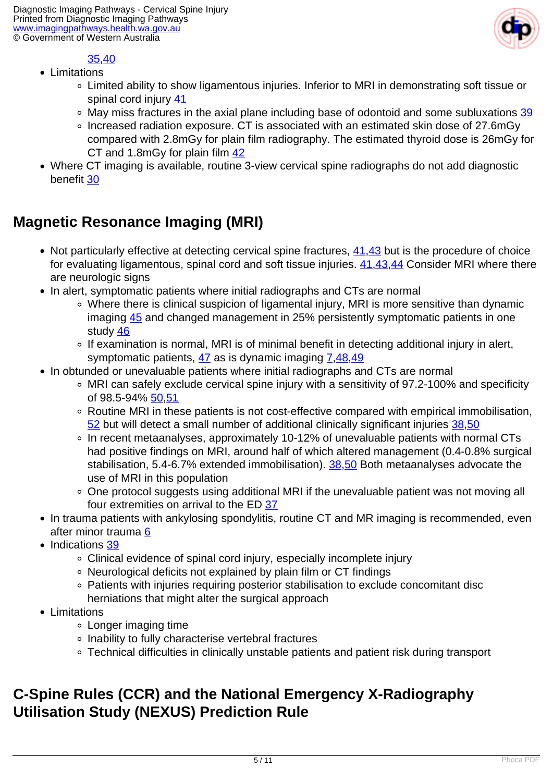

#### 35,[40](index.php/imaging-pathways/musculoskeletal-trauma/bone-and-joint-trauma/cervical-spine-injury?tab=references#40)

- Limitations
	- Limited ability to show ligamentous injuries. Inferior to MRI in demonstrating soft tissue or spinal cord injury [41](index.php/imaging-pathways/musculoskeletal-trauma/bone-and-joint-trauma/cervical-spine-injury?tab=references#41)
	- May miss fractures in the axial plane including base of odontoid and some subluxations [39](index.php/imaging-pathways/musculoskeletal-trauma/bone-and-joint-trauma/cervical-spine-injury?tab=references#39)
	- Increased radiation exposure. CT is associated with an estimated skin dose of 27.6mGy compared with 2.8mGy for plain film radiography. The estimated thyroid dose is 26mGy for CT and 1.8mGy for plain film [42](index.php/imaging-pathways/musculoskeletal-trauma/bone-and-joint-trauma/cervical-spine-injury?tab=references#42)
- Where CT imaging is available, routine 3-view cervical spine radiographs do not add diagnostic benefit [30](index.php/imaging-pathways/musculoskeletal-trauma/bone-and-joint-trauma/cervical-spine-injury?tab=references#30)

## **Magnetic Resonance Imaging (MRI)**

- Not particularly effective at detecting cervical spine fractures, [41,](index.php/imaging-pathways/musculoskeletal-trauma/bone-and-joint-trauma/cervical-spine-injury?tab=references#41)[43](index.php/imaging-pathways/musculoskeletal-trauma/bone-and-joint-trauma/cervical-spine-injury?tab=references#43) but is the procedure of choice for evaluating ligamentous, spinal cord and soft tissue injuries.  $41,43,44$  $41,43,44$  $41,43,44$  Consider MRI where there are neurologic signs
- In alert, symptomatic patients where initial radiographs and CTs are normal
	- Where there is clinical suspicion of ligamental injury, MRI is more sensitive than dynamic imaging [45](index.php/imaging-pathways/musculoskeletal-trauma/bone-and-joint-trauma/cervical-spine-injury?tab=references#45) and changed management in 25% persistently symptomatic patients in one study [46](index.php/imaging-pathways/musculoskeletal-trauma/bone-and-joint-trauma/cervical-spine-injury?tab=references#46)
	- If examination is normal, MRI is of minimal benefit in detecting additional injury in alert, symptomatic patients,  $\frac{47}{48}$  $\frac{47}{48}$  $\frac{47}{48}$  $\frac{47}{48}$  $\frac{47}{48}$  as is dynamic imaging  $\frac{7,48,49}{48}$  $\frac{7,48,49}{48}$  $\frac{7,48,49}{48}$
- In obtunded or unevaluable patients where initial radiographs and CTs are normal
	- MRI can safely exclude cervical spine injury with a sensitivity of 97.2-100% and specificity of 98.5-94% 50.[51](index.php/imaging-pathways/musculoskeletal-trauma/bone-and-joint-trauma/cervical-spine-injury?tab=references#51)
	- Routine MRI in these patients is not cost-effective compared with empirical immobilisation, [52](index.php/imaging-pathways/musculoskeletal-trauma/bone-and-joint-trauma/cervical-spine-injury?tab=references#52) but will detect a small number of additional clinically significant injuries [38,](index.php/imaging-pathways/musculoskeletal-trauma/bone-and-joint-trauma/cervical-spine-injury?tab=references#38)[50](index.php/imaging-pathways/musculoskeletal-trauma/bone-and-joint-trauma/cervical-spine-injury?tab=references#50)
	- In recent metaanalyses, approximately 10-12% of unevaluable patients with normal CTs had positive findings on MRI, around half of which altered management (0.4-0.8% surgical stabilisation, 5.4-6.7% extended immobilisation). [38,](index.php/imaging-pathways/musculoskeletal-trauma/bone-and-joint-trauma/cervical-spine-injury?tab=references#38)[50](index.php/imaging-pathways/musculoskeletal-trauma/bone-and-joint-trauma/cervical-spine-injury?tab=references#50) Both metaanalyses advocate the use of MRI in this population
	- One protocol suggests using additional MRI if the unevaluable patient was not moving all four extremities on arrival to the ED [37](index.php/imaging-pathways/musculoskeletal-trauma/bone-and-joint-trauma/cervical-spine-injury?tab=references#37)
- In trauma patients with ankylosing spondylitis, routine CT and MR imaging is recommended, even after minor trauma [6](index.php/imaging-pathways/musculoskeletal-trauma/bone-and-joint-trauma/cervical-spine-injury?tab=references#6)
- Indications [39](index.php/imaging-pathways/musculoskeletal-trauma/bone-and-joint-trauma/cervical-spine-injury?tab=references#39)
	- Clinical evidence of spinal cord injury, especially incomplete injury
	- Neurological deficits not explained by plain film or CT findings
	- Patients with injuries requiring posterior stabilisation to exclude concomitant disc herniations that might alter the surgical approach
- Limitations
	- Longer imaging time
	- Inability to fully characterise vertebral fractures
	- Technical difficulties in clinically unstable patients and patient risk during transport

### **C-Spine Rules (CCR) and the National Emergency X-Radiography Utilisation Study (NEXUS) Prediction Rule**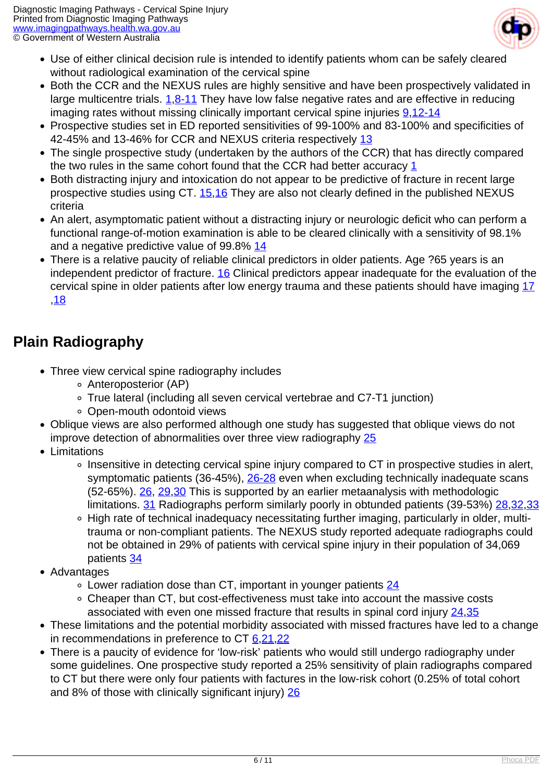

- Use of either clinical decision rule is intended to identify patients whom can be safely cleared without radiological examination of the cervical spine
- Both the CCR and the NEXUS rules are highly sensitive and have been prospectively validated in large multicentre trials. [1](index.php/imaging-pathways/musculoskeletal-trauma/bone-and-joint-trauma/cervical-spine-injury?tab=references#1)[,8-11](index.php/imaging-pathways/musculoskeletal-trauma/bone-and-joint-trauma/cervical-spine-injury?tab=references#11) They have low false negative rates and are effective in reducing imaging rates without missing clinically important cervical spine injuries [9](index.php/imaging-pathways/musculoskeletal-trauma/bone-and-joint-trauma/cervical-spine-injury?tab=references#9),[12-14](index.php/imaging-pathways/musculoskeletal-trauma/bone-and-joint-trauma/cervical-spine-injury?tab=references#12)
- Prospective studies set in ED reported sensitivities of 99-100% and 83-100% and specificities of 42-45% and [13](index.php/imaging-pathways/musculoskeletal-trauma/bone-and-joint-trauma/cervical-spine-injury?tab=references#13)-46% for CCR and NEXUS criteria respectively 13
- The single prospective study (undertaken by the authors of the CCR) that has directly compared the two rules in the same cohort found that the CCR had better accuracy [1](index.php/imaging-pathways/musculoskeletal-trauma/bone-and-joint-trauma/cervical-spine-injury?tab=references#1)
- Both distracting injury and intoxication do not appear to be predictive of fracture in recent large prospective studies using CT. [15](index.php/imaging-pathways/musculoskeletal-trauma/bone-and-joint-trauma/cervical-spine-injury?tab=references#15),[16](index.php/imaging-pathways/musculoskeletal-trauma/bone-and-joint-trauma/cervical-spine-injury?tab=references#16) They are also not clearly defined in the published NEXUS criteria
- An alert, asymptomatic patient without a distracting injury or neurologic deficit who can perform a functional range-of-motion examination is able to be cleared clinically with a sensitivity of 98.1% and a negative predictive value of 99.8% [14](index.php/imaging-pathways/musculoskeletal-trauma/bone-and-joint-trauma/cervical-spine-injury?tab=references#14)
- There is a relative paucity of reliable clinical predictors in older patients. Age ?65 years is an independent predictor of fracture. [16](index.php/imaging-pathways/musculoskeletal-trauma/bone-and-joint-trauma/cervical-spine-injury?tab=references#16) Clinical predictors appear inadequate for the evaluation of the cervical spine in older patients after low energy trauma and these patients should have imaging [17](index.php/imaging-pathways/musculoskeletal-trauma/bone-and-joint-trauma/cervical-spine-injury?tab=references#17) ,[18](index.php/imaging-pathways/musculoskeletal-trauma/bone-and-joint-trauma/cervical-spine-injury?tab=references#18)

### **Plain Radiography**

- Three view cervical spine radiography includes
	- Anteroposterior (AP)
	- True lateral (including all seven cervical vertebrae and C7-T1 junction)
	- Open-mouth odontoid views
- Oblique views are also performed although one study has suggested that oblique views do not improve detection of abnormalities over three view radiography [25](index.php/imaging-pathways/musculoskeletal-trauma/bone-and-joint-trauma/cervical-spine-injury?tab=references#25)
- Limitations
	- Insensitive in detecting cervical spine injury compared to CT in prospective studies in alert, symptomatic patients (36-45%), [26-28](index.php/imaging-pathways/musculoskeletal-trauma/bone-and-joint-trauma/cervical-spine-injury?tab=references#26) even when excluding technically inadequate scans (52-65%). [26,](index.php/imaging-pathways/musculoskeletal-trauma/bone-and-joint-trauma/cervical-spine-injury?tab=references#26) [29,](index.php/imaging-pathways/musculoskeletal-trauma/bone-and-joint-trauma/cervical-spine-injury?tab=references#29)[30](index.php/imaging-pathways/musculoskeletal-trauma/bone-and-joint-trauma/cervical-spine-injury?tab=references#30) This is supported by an earlier metaanalysis with methodologic limitations. [31](index.php/imaging-pathways/musculoskeletal-trauma/bone-and-joint-trauma/cervical-spine-injury?tab=references#31) Radiographs perform similarly poorly in obtunded patients (39-53%) [28](index.php/imaging-pathways/musculoskeletal-trauma/bone-and-joint-trauma/cervical-spine-injury?tab=references#28)[,32,](index.php/imaging-pathways/musculoskeletal-trauma/bone-and-joint-trauma/cervical-spine-injury?tab=references#32)[33](index.php/imaging-pathways/musculoskeletal-trauma/bone-and-joint-trauma/cervical-spine-injury?tab=references#33)
	- High rate of technical inadequacy necessitating further imaging, particularly in older, multitrauma or non-compliant patients. The NEXUS study reported adequate radiographs could not be obtained in 29% of patients with cervical spine injury in their population of 34,069 patients [34](index.php/imaging-pathways/musculoskeletal-trauma/bone-and-joint-trauma/cervical-spine-injury?tab=references#34)
- Advantages
	- Lower radiation dose than CT, important in younger patients [24](index.php/imaging-pathways/musculoskeletal-trauma/bone-and-joint-trauma/cervical-spine-injury?tab=references#24)
	- Cheaper than CT, but cost-effectiveness must take into account the massive costs associated with even one missed fracture that results in spinal cord injury [24](index.php/imaging-pathways/musculoskeletal-trauma/bone-and-joint-trauma/cervical-spine-injury?tab=references#24)[,35](index.php/imaging-pathways/musculoskeletal-trauma/bone-and-joint-trauma/cervical-spine-injury?tab=references#35)
- These limitations and the potential morbidity associated with missed fractures have led to a change in recommendations in preference to CT [6](index.php/imaging-pathways/musculoskeletal-trauma/bone-and-joint-trauma/cervical-spine-injury?tab=references#6),[21](index.php/imaging-pathways/musculoskeletal-trauma/bone-and-joint-trauma/cervical-spine-injury?tab=references#21)[,22](index.php/imaging-pathways/musculoskeletal-trauma/bone-and-joint-trauma/cervical-spine-injury?tab=references#22)
- There is a paucity of evidence for 'low-risk' patients who would still undergo radiography under some guidelines. One prospective study reported a 25% sensitivity of plain radiographs compared to CT but there were only four patients with factures in the low-risk cohort (0.25% of total cohort and 8% of those with clinically significant injury) [26](index.php/imaging-pathways/musculoskeletal-trauma/bone-and-joint-trauma/cervical-spine-injury?tab=references#26)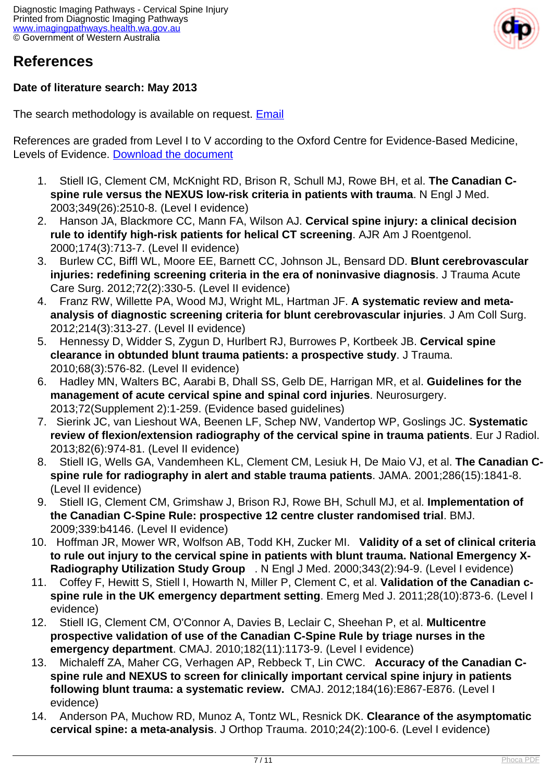

#### **References**

#### **Date of literature search: May 2013**

The search methodology is available on request. [Email](index.php/contact-us)

References are graded from Level I to V according to the Oxford Centre for Evidence-Based Medicine, Levels of Evidence. [Download the document](http://www.cebm.net/wp-content/uploads/2014/06/CEBM-Levels-of-Evidence-2.1.pdf)

- 1. Stiell IG, Clement CM, McKnight RD, Brison R, Schull MJ, Rowe BH, et al. **The Canadian Cspine rule versus the NEXUS low-risk criteria in patients with trauma**. N Engl J Med. 2003;349(26):2510-8. (Level I evidence)
- 2. Hanson JA, Blackmore CC, Mann FA, Wilson AJ. **Cervical spine injury: a clinical decision rule to identify high-risk patients for helical CT screening**. AJR Am J Roentgenol. 2000;174(3):713-7. (Level II evidence)
- 3. Burlew CC, Biffl WL, Moore EE, Barnett CC, Johnson JL, Bensard DD. **Blunt cerebrovascular injuries: redefining screening criteria in the era of noninvasive diagnosis**. J Trauma Acute Care Surg. 2012;72(2):330-5. (Level II evidence)
- 4. Franz RW, Willette PA, Wood MJ, Wright ML, Hartman JF. **A systematic review and metaanalysis of diagnostic screening criteria for blunt cerebrovascular injuries**. J Am Coll Surg. 2012;214(3):313-27. (Level II evidence)
- 5. Hennessy D, Widder S, Zygun D, Hurlbert RJ, Burrowes P, Kortbeek JB. **Cervical spine clearance in obtunded blunt trauma patients: a prospective study**. J Trauma. 2010;68(3):576-82. (Level II evidence)
- 6. Hadley MN, Walters BC, Aarabi B, Dhall SS, Gelb DE, Harrigan MR, et al. **Guidelines for the management of acute cervical spine and spinal cord injuries**. Neurosurgery. 2013;72(Supplement 2):1-259. (Evidence based guidelines)
- 7. Sierink JC, van Lieshout WA, Beenen LF, Schep NW, Vandertop WP, Goslings JC. **Systematic review of flexion/extension radiography of the cervical spine in trauma patients**. Eur J Radiol. 2013;82(6):974-81. (Level II evidence)
- 8. Stiell IG, Wells GA, Vandemheen KL, Clement CM, Lesiuk H, De Maio VJ, et al. **The Canadian Cspine rule for radiography in alert and stable trauma patients**. JAMA. 2001;286(15):1841-8. (Level II evidence)
- 9. Stiell IG, Clement CM, Grimshaw J, Brison RJ, Rowe BH, Schull MJ, et al. **Implementation of the Canadian C-Spine Rule: prospective 12 centre cluster randomised trial**. BMJ. 2009;339:b4146. (Level II evidence)
- 10. Hoffman JR, Mower WR, Wolfson AB, Todd KH, Zucker MI. **Validity of a set of clinical criteria to rule out injury to the cervical spine in patients with blunt trauma. National Emergency X-Radiography Utilization Study Group** . N Engl J Med. 2000;343(2):94-9. (Level I evidence)
- 11. Coffey F, Hewitt S, Stiell I, Howarth N, Miller P, Clement C, et al. **Validation of the Canadian cspine rule in the UK emergency department setting**. Emerg Med J. 2011;28(10):873-6. (Level I evidence)
- 12. Stiell IG, Clement CM, O'Connor A, Davies B, Leclair C, Sheehan P, et al. **Multicentre prospective validation of use of the Canadian C-Spine Rule by triage nurses in the emergency department**. CMAJ. 2010;182(11):1173-9. (Level I evidence)
- 13. Michaleff ZA, Maher CG, Verhagen AP, Rebbeck T, Lin CWC. **Accuracy of the Canadian Cspine rule and NEXUS to screen for clinically important cervical spine injury in patients following blunt trauma: a systematic review.** CMAJ. 2012;184(16):E867-E876. (Level I evidence)
- 14. Anderson PA, Muchow RD, Munoz A, Tontz WL, Resnick DK. **Clearance of the asymptomatic cervical spine: a meta-analysis**. J Orthop Trauma. 2010;24(2):100-6. (Level I evidence)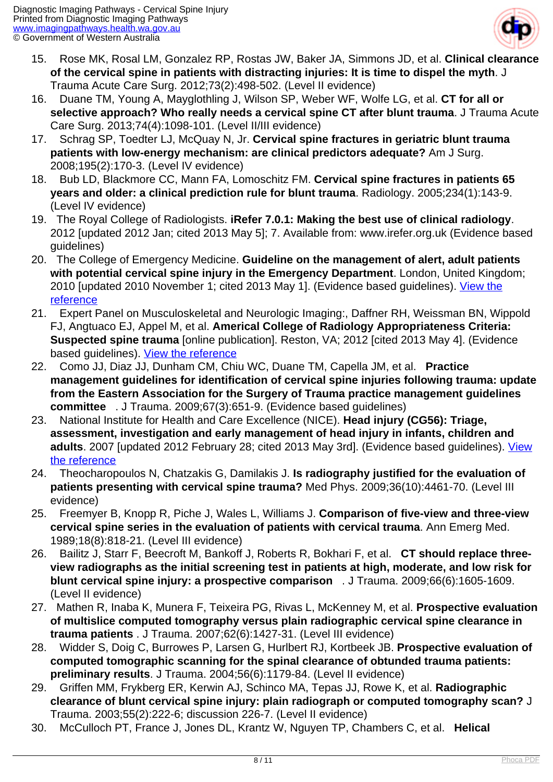

- 15. Rose MK, Rosal LM, Gonzalez RP, Rostas JW, Baker JA, Simmons JD, et al. **Clinical clearance of the cervical spine in patients with distracting injuries: It is time to dispel the myth**. J Trauma Acute Care Surg. 2012;73(2):498-502. (Level II evidence)
- 16. Duane TM, Young A, Mayglothling J, Wilson SP, Weber WF, Wolfe LG, et al. **CT for all or selective approach? Who really needs a cervical spine CT after blunt trauma**. J Trauma Acute Care Surg. 2013;74(4):1098-101. (Level II/III evidence)
- 17. Schrag SP, Toedter LJ, McQuay N, Jr. **Cervical spine fractures in geriatric blunt trauma patients with low-energy mechanism: are clinical predictors adequate?** Am J Surg. 2008;195(2):170-3. (Level IV evidence)
- 18. Bub LD, Blackmore CC, Mann FA, Lomoschitz FM. **Cervical spine fractures in patients 65 years and older: a clinical prediction rule for blunt trauma**. Radiology. 2005;234(1):143-9. (Level IV evidence)
- 19. The Royal College of Radiologists. **iRefer 7.0.1: Making the best use of clinical radiology**. 2012 [updated 2012 Jan; cited 2013 May 5]; 7. Available from: www.irefer.org.uk (Evidence based guidelines)
- 20. The College of Emergency Medicine. **Guideline on the management of alert, adult patients with potential cervical spine injury in the Emergency Department**. London, United Kingdom; 2010 [updated 2010 November 1; cited 2013 May 1]. (Evidence based guidelines). [View the](http://www.collemergencymed.ac.uk/code/document.asp?ID=5718) [reference](http://www.collemergencymed.ac.uk/code/document.asp?ID=5718)
- 21. Expert Panel on Musculoskeletal and Neurologic Imaging:, Daffner RH, Weissman BN, Wippold FJ, Angtuaco EJ, Appel M, et al. **Americal College of Radiology Appropriateness Criteria: Suspected spine trauma** [online publication]. Reston, VA; 2012 [cited 2013 May 4]. (Evidence based guidelines). [View the reference](http://www.acr.org/~/media/ACR/Documents/AppCriteria/Diagnostic/SuspectedSpineTrauma.pdf)
- 22. Como JJ, Diaz JJ, Dunham CM, Chiu WC, Duane TM, Capella JM, et al. **Practice management guidelines for identification of cervical spine injuries following trauma: update from the Eastern Association for the Surgery of Trauma practice management guidelines committee** . J Trauma. 2009;67(3):651-9. (Evidence based guidelines)
- 23. National Institute for Health and Care Excellence (NICE). **Head injury (CG56): Triage, assessment, investigation and early management of head injury in infants, children and** adults. 2007 [updated 2012 February 28; cited 2013 May 3rd]. (Evidence based guidelines). [View](http://guidance.nice.org.uk/CG56) [the reference](http://guidance.nice.org.uk/CG56)
- 24. Theocharopoulos N, Chatzakis G, Damilakis J. **Is radiography justified for the evaluation of patients presenting with cervical spine trauma?** Med Phys. 2009;36(10):4461-70. (Level III evidence)
- 25. Freemyer B, Knopp R, Piche J, Wales L, Williams J. **Comparison of five-view and three-view cervical spine series in the evaluation of patients with cervical trauma**. Ann Emerg Med. 1989;18(8):818-21. (Level III evidence)
- 26. Bailitz J, Starr F, Beecroft M, Bankoff J, Roberts R, Bokhari F, et al. **CT should replace threeview radiographs as the initial screening test in patients at high, moderate, and low risk for blunt cervical spine injury: a prospective comparison** . J Trauma. 2009;66(6):1605-1609. (Level II evidence)
- 27. Mathen R, Inaba K, Munera F, Teixeira PG, Rivas L, McKenney M, et al. **Prospective evaluation of multislice computed tomography versus plain radiographic cervical spine clearance in trauma patients** . J Trauma. 2007;62(6):1427-31. (Level III evidence)
- 28. Widder S, Doig C, Burrowes P, Larsen G, Hurlbert RJ, Kortbeek JB. **Prospective evaluation of computed tomographic scanning for the spinal clearance of obtunded trauma patients: preliminary results**. J Trauma. 2004;56(6):1179-84. (Level II evidence)
- 29. Griffen MM, Frykberg ER, Kerwin AJ, Schinco MA, Tepas JJ, Rowe K, et al. **Radiographic clearance of blunt cervical spine injury: plain radiograph or computed tomography scan?** J Trauma. 2003;55(2):222-6; discussion 226-7. (Level II evidence)
- 30. McCulloch PT, France J, Jones DL, Krantz W, Nguyen TP, Chambers C, et al. **Helical**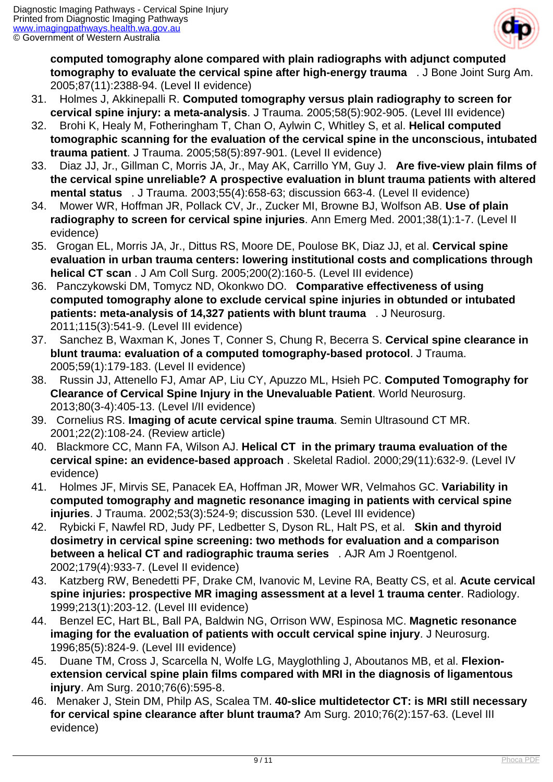

**computed tomography alone compared with plain radiographs with adjunct computed tomography to evaluate the cervical spine after high-energy trauma** . J Bone Joint Surg Am. 2005;87(11):2388-94. (Level II evidence)

- 31. Holmes J, Akkinepalli R. **Computed tomography versus plain radiography to screen for cervical spine injury: a meta-analysis**. J Trauma. 2005;58(5):902-905. (Level III evidence)
- 32. Brohi K, Healy M, Fotheringham T, Chan O, Aylwin C, Whitley S, et al. **Helical computed tomographic scanning for the evaluation of the cervical spine in the unconscious, intubated trauma patient**. J Trauma. 2005;58(5):897-901. (Level II evidence)
- 33. Diaz JJ, Jr., Gillman C, Morris JA, Jr., May AK, Carrillo YM, Guy J. **Are five-view plain films of the cervical spine unreliable? A prospective evaluation in blunt trauma patients with altered mental status** . J Trauma. 2003;55(4):658-63; discussion 663-4. (Level II evidence)
- 34. Mower WR, Hoffman JR, Pollack CV, Jr., Zucker MI, Browne BJ, Wolfson AB. **Use of plain radiography to screen for cervical spine injuries**. Ann Emerg Med. 2001;38(1):1-7. (Level II evidence)
- 35. Grogan EL, Morris JA, Jr., Dittus RS, Moore DE, Poulose BK, Diaz JJ, et al. **Cervical spine evaluation in urban trauma centers: lowering institutional costs and complications through helical CT scan** . J Am Coll Surg. 2005;200(2):160-5. (Level III evidence)
- 36. Panczykowski DM, Tomycz ND, Okonkwo DO. **Comparative effectiveness of using computed tomography alone to exclude cervical spine injuries in obtunded or intubated patients: meta-analysis of 14,327 patients with blunt trauma** . J Neurosurg. 2011;115(3):541-9. (Level III evidence)
- 37. Sanchez B, Waxman K, Jones T, Conner S, Chung R, Becerra S. **Cervical spine clearance in blunt trauma: evaluation of a computed tomography-based protocol**. J Trauma. 2005;59(1):179-183. (Level II evidence)
- 38. Russin JJ, Attenello FJ, Amar AP, Liu CY, Apuzzo ML, Hsieh PC. **Computed Tomography for Clearance of Cervical Spine Injury in the Unevaluable Patient**. World Neurosurg. 2013;80(3-4):405-13. (Level I/II evidence)
- 39. Cornelius RS. **Imaging of acute cervical spine trauma**. Semin Ultrasound CT MR. 2001;22(2):108-24. (Review article)
- 40. Blackmore CC, Mann FA, Wilson AJ. **Helical CT in the primary trauma evaluation of the cervical spine: an evidence-based approach** . Skeletal Radiol. 2000;29(11):632-9. (Level IV evidence)
- 41. Holmes JF, Mirvis SE, Panacek EA, Hoffman JR, Mower WR, Velmahos GC. **Variability in computed tomography and magnetic resonance imaging in patients with cervical spine injuries**. J Trauma. 2002;53(3):524-9; discussion 530. (Level III evidence)
- 42. Rybicki F, Nawfel RD, Judy PF, Ledbetter S, Dyson RL, Halt PS, et al. **Skin and thyroid dosimetry in cervical spine screening: two methods for evaluation and a comparison between a helical CT and radiographic trauma series** . AJR Am J Roentgenol. 2002;179(4):933-7. (Level II evidence)
- 43. Katzberg RW, Benedetti PF, Drake CM, Ivanovic M, Levine RA, Beatty CS, et al. **Acute cervical spine injuries: prospective MR imaging assessment at a level 1 trauma center**. Radiology. 1999;213(1):203-12. (Level III evidence)
- 44. Benzel EC, Hart BL, Ball PA, Baldwin NG, Orrison WW, Espinosa MC. **Magnetic resonance imaging for the evaluation of patients with occult cervical spine injury**. J Neurosurg. 1996;85(5):824-9. (Level III evidence)
- 45. Duane TM, Cross J, Scarcella N, Wolfe LG, Mayglothling J, Aboutanos MB, et al. **Flexionextension cervical spine plain films compared with MRI in the diagnosis of ligamentous injury**. Am Surg. 2010;76(6):595-8.
- 46. Menaker J, Stein DM, Philp AS, Scalea TM. **40-slice multidetector CT: is MRI still necessary for cervical spine clearance after blunt trauma?** Am Surg. 2010;76(2):157-63. (Level III evidence)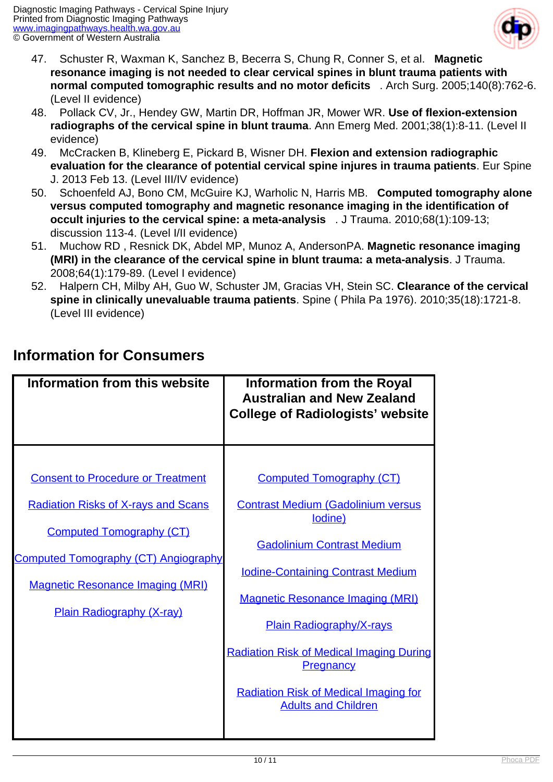

- 47. Schuster R, Waxman K, Sanchez B, Becerra S, Chung R, Conner S, et al. **Magnetic resonance imaging is not needed to clear cervical spines in blunt trauma patients with normal computed tomographic results and no motor deficits** . Arch Surg. 2005;140(8):762-6. (Level II evidence)
- 48. Pollack CV, Jr., Hendey GW, Martin DR, Hoffman JR, Mower WR. **Use of flexion-extension radiographs of the cervical spine in blunt trauma**. Ann Emerg Med. 2001;38(1):8-11. (Level II evidence)
- 49. McCracken B, Klineberg E, Pickard B, Wisner DH. **Flexion and extension radiographic evaluation for the clearance of potential cervical spine injures in trauma patients**. Eur Spine J. 2013 Feb 13. (Level III/IV evidence)
- 50. Schoenfeld AJ, Bono CM, McGuire KJ, Warholic N, Harris MB. **Computed tomography alone versus computed tomography and magnetic resonance imaging in the identification of occult injuries to the cervical spine: a meta-analysis** . J Trauma. 2010;68(1):109-13; discussion 113-4. (Level I/II evidence)
- 51. Muchow RD , Resnick DK, Abdel MP, Munoz A, AndersonPA. **Magnetic resonance imaging (MRI) in the clearance of the cervical spine in blunt trauma: a meta-analysis**. J Trauma. 2008;64(1):179-89. (Level I evidence)
- 52. Halpern CH, Milby AH, Guo W, Schuster JM, Gracias VH, Stein SC. **Clearance of the cervical spine in clinically unevaluable trauma patients**. Spine ( Phila Pa 1976). 2010;35(18):1721-8. (Level III evidence)

### **Information for Consumers**

| <b>Consent to Procedure or Treatment</b><br><b>Computed Tomography (CT)</b><br><b>Contrast Medium (Gadolinium versus</b><br><b>Radiation Risks of X-rays and Scans</b><br>lodine)<br><b>Computed Tomography (CT)</b><br><b>Gadolinium Contrast Medium</b><br><b>Iodine-Containing Contrast Medium</b><br><b>Magnetic Resonance Imaging (MRI)</b><br><b>Magnetic Resonance Imaging (MRI)</b><br><b>Plain Radiography (X-ray)</b><br><b>Plain Radiography/X-rays</b><br><b>Radiation Risk of Medical Imaging During</b><br><b>Pregnancy</b><br><b>Radiation Risk of Medical Imaging for</b><br><b>Adults and Children</b> | Information from this website               | Information from the Royal<br><b>Australian and New Zealand</b><br><b>College of Radiologists' website</b> |
|-------------------------------------------------------------------------------------------------------------------------------------------------------------------------------------------------------------------------------------------------------------------------------------------------------------------------------------------------------------------------------------------------------------------------------------------------------------------------------------------------------------------------------------------------------------------------------------------------------------------------|---------------------------------------------|------------------------------------------------------------------------------------------------------------|
|                                                                                                                                                                                                                                                                                                                                                                                                                                                                                                                                                                                                                         | <b>Computed Tomography (CT) Angiography</b> |                                                                                                            |